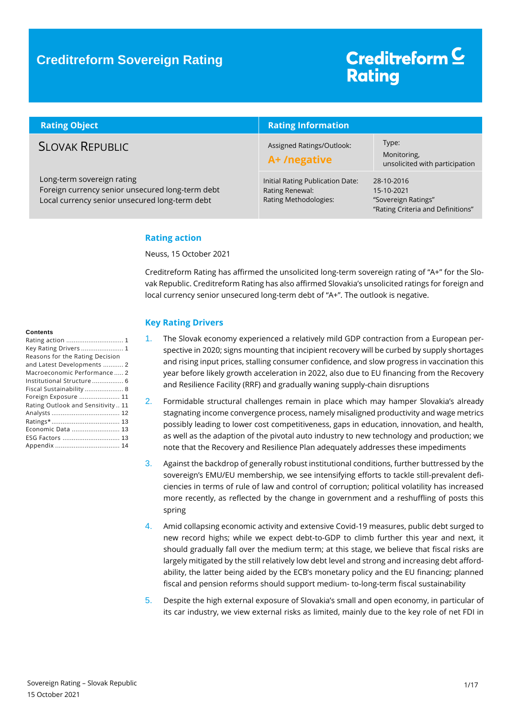### **Creditreform Sovereign Rating**

# Creditreform<sup>C</sup> **Rating**

| <b>Rating Object</b>                                                                                                             | <b>Rating Information</b>                                                    |                                                                                      |
|----------------------------------------------------------------------------------------------------------------------------------|------------------------------------------------------------------------------|--------------------------------------------------------------------------------------|
| <b>SLOVAK REPUBLIC</b>                                                                                                           | Assigned Ratings/Outlook:<br>A+/negative                                     | Type:<br>Monitoring,<br>unsolicited with participation                               |
| Long-term sovereign rating<br>Foreign currency senior unsecured long-term debt<br>Local currency senior unsecured long-term debt | Initial Rating Publication Date:<br>Rating Renewal:<br>Rating Methodologies: | 28-10-2016<br>15-10-2021<br>"Sovereign Ratings"<br>"Rating Criteria and Definitions" |

#### <span id="page-0-0"></span>**Rating action**

Neuss, 15 October 2021

Creditreform Rating has affirmed the unsolicited long-term sovereign rating of "A+" for the Slovak Republic. Creditreform Rating has also affirmed Slovakia's unsolicited ratings for foreign and local currency senior unsecured long-term debt of "A+". The outlook is negative.

#### <span id="page-0-1"></span>**Key Rating Drivers**

- 1. The Slovak economy experienced a relatively mild GDP contraction from a European perspective in 2020; signs mounting that incipient recovery will be curbed by supply shortages and rising input prices, stalling consumer confidence, and slow progress in vaccination this year before likely growth acceleration in 2022, also due to EU financing from the Recovery and Resilience Facility (RRF) and gradually waning supply-chain disruptions
- 2. Formidable structural challenges remain in place which may hamper Slovakia's already stagnating income convergence process, namely misaligned productivity and wage metrics possibly leading to lower cost competitiveness, gaps in education, innovation, and health, as well as the adaption of the pivotal auto industry to new technology and production; we note that the Recovery and Resilience Plan adequately addresses these impediments
- 3. Against the backdrop of generally robust institutional conditions, further buttressed by the sovereign's EMU/EU membership, we see intensifying efforts to tackle still-prevalent deficiencies in terms of rule of law and control of corruption; political volatility has increased more recently, as reflected by the change in government and a reshuffling of posts this spring
- 4. Amid collapsing economic activity and extensive Covid-19 measures, public debt surged to new record highs; while we expect debt-to-GDP to climb further this year and next, it should gradually fall over the medium term; at this stage, we believe that fiscal risks are largely mitigated by the still relatively low debt level and strong and increasing debt affordability, the latter being aided by the ECB's monetary policy and the EU financing; planned fiscal and pension reforms should support medium- to-long-term fiscal sustainability
- 5. Despite the high external exposure of Slovakia's small and open economy, in particular of its car industry, we view external risks as limited, mainly due to the key role of net FDI in

#### **Contents**

| Key Rating Drivers  1             |
|-----------------------------------|
| Reasons for the Rating Decision   |
| and Latest Developments  2        |
| Macroeconomic Performance 2       |
| Institutional Structure  6        |
| Fiscal Sustainability  8          |
| Foreign Exposure  11              |
| Rating Outlook and Sensitivity 11 |
|                                   |
|                                   |
| Economic Data  13                 |
|                                   |
|                                   |
|                                   |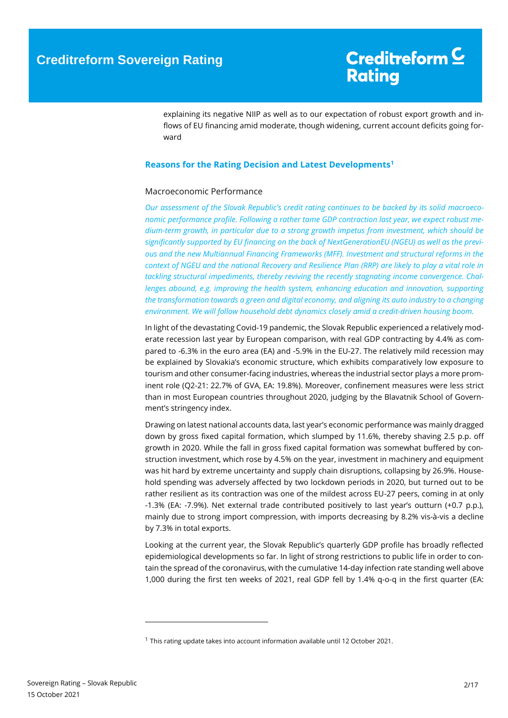explaining its negative NIIP as well as to our expectation of robust export growth and inflows of EU financing amid moderate, though widening, current account deficits going forward

#### <span id="page-1-0"></span>**Reasons for the Rating Decision and Latest Developments<sup>1</sup>**

#### <span id="page-1-1"></span>Macroeconomic Performance

*Our assessment of the Slovak Republic's credit rating continues to be backed by its solid macroeconomic performance profile. Following a rather tame GDP contraction last year, we expect robust medium-term growth, in particular due to a strong growth impetus from investment, which should be significantly supported by EU financing on the back of NextGenerationEU (NGEU) as well as the previous and the new Multiannual Financing Frameworks (MFF). Investment and structural reforms in the context of NGEU and the national Recovery and Resilience Plan (RRP) are likely to play a vital role in tackling structural impediments, thereby reviving the recently stagnating income convergence. Challenges abound, e.g. improving the health system, enhancing education and innovation, supporting the transformation towards a green and digital economy, and aligning its auto industry to a changing environment. We will follow household debt dynamics closely amid a credit-driven housing boom.*

In light of the devastating Covid-19 pandemic, the Slovak Republic experienced a relatively moderate recession last year by European comparison, with real GDP contracting by 4.4% as compared to -6.3% in the euro area (EA) and -5.9% in the EU-27. The relatively mild recession may be explained by Slovakia's economic structure, which exhibits comparatively low exposure to tourism and other consumer-facing industries, whereas the industrial sector plays a more prominent role (Q2-21: 22.7% of GVA, EA: 19.8%). Moreover, confinement measures were less strict than in most European countries throughout 2020, judging by the Blavatnik School of Government's stringency index.

Drawing on latest national accounts data, last year's economic performance was mainly dragged down by gross fixed capital formation, which slumped by 11.6%, thereby shaving 2.5 p.p. off growth in 2020. While the fall in gross fixed capital formation was somewhat buffered by construction investment, which rose by 4.5% on the year, investment in machinery and equipment was hit hard by extreme uncertainty and supply chain disruptions, collapsing by 26.9%. Household spending was adversely affected by two lockdown periods in 2020, but turned out to be rather resilient as its contraction was one of the mildest across EU-27 peers, coming in at only -1.3% (EA: -7.9%). Net external trade contributed positively to last year's outturn (+0.7 p.p.), mainly due to strong import compression, with imports decreasing by 8.2% vis-à-vis a decline by 7.3% in total exports.

Looking at the current year, the Slovak Republic's quarterly GDP profile has broadly reflected epidemiological developments so far. In light of strong restrictions to public life in order to contain the spread of the coronavirus, with the cumulative 14-day infection rate standing well above 1,000 during the first ten weeks of 2021, real GDP fell by 1.4% q-o-q in the first quarter (EA:

-

<sup>1</sup> This rating update takes into account information available until 12 October 2021.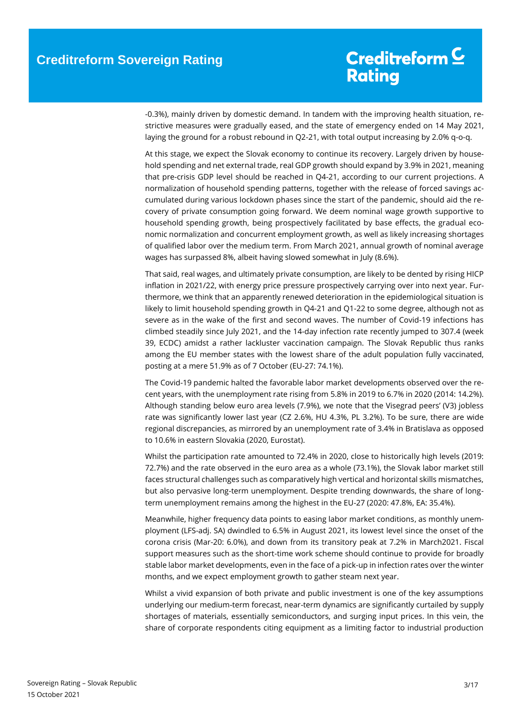-0.3%), mainly driven by domestic demand. In tandem with the improving health situation, restrictive measures were gradually eased, and the state of emergency ended on 14 May 2021, laying the ground for a robust rebound in Q2-21, with total output increasing by 2.0% q-o-q.

At this stage, we expect the Slovak economy to continue its recovery. Largely driven by household spending and net external trade, real GDP growth should expand by 3.9% in 2021, meaning that pre-crisis GDP level should be reached in Q4-21, according to our current projections. A normalization of household spending patterns, together with the release of forced savings accumulated during various lockdown phases since the start of the pandemic, should aid the recovery of private consumption going forward. We deem nominal wage growth supportive to household spending growth, being prospectively facilitated by base effects, the gradual economic normalization and concurrent employment growth, as well as likely increasing shortages of qualified labor over the medium term. From March 2021, annual growth of nominal average wages has surpassed 8%, albeit having slowed somewhat in July (8.6%).

That said, real wages, and ultimately private consumption, are likely to be dented by rising HICP inflation in 2021/22, with energy price pressure prospectively carrying over into next year. Furthermore, we think that an apparently renewed deterioration in the epidemiological situation is likely to limit household spending growth in Q4-21 and Q1-22 to some degree, although not as severe as in the wake of the first and second waves. The number of Covid-19 infections has climbed steadily since July 2021, and the 14-day infection rate recently jumped to 307.4 (week 39, ECDC) amidst a rather lackluster vaccination campaign. The Slovak Republic thus ranks among the EU member states with the lowest share of the adult population fully vaccinated, posting at a mere 51.9% as of 7 October (EU-27: 74.1%).

The Covid-19 pandemic halted the favorable labor market developments observed over the recent years, with the unemployment rate rising from 5.8% in 2019 to 6.7% in 2020 (2014: 14.2%). Although standing below euro area levels (7.9%), we note that the Visegrad peers' (V3) jobless rate was significantly lower last year (CZ 2.6%, HU 4.3%, PL 3.2%). To be sure, there are wide regional discrepancies, as mirrored by an unemployment rate of 3.4% in Bratislava as opposed to 10.6% in eastern Slovakia (2020, Eurostat).

Whilst the participation rate amounted to 72.4% in 2020, close to historically high levels (2019: 72.7%) and the rate observed in the euro area as a whole (73.1%), the Slovak labor market still faces structural challenges such as comparatively high vertical and horizontal skills mismatches, but also pervasive long-term unemployment. Despite trending downwards, the share of longterm unemployment remains among the highest in the EU-27 (2020: 47.8%, EA: 35.4%).

Meanwhile, higher frequency data points to easing labor market conditions, as monthly unemployment (LFS-adj. SA) dwindled to 6.5% in August 2021, its lowest level since the onset of the corona crisis (Mar-20: 6.0%), and down from its transitory peak at 7.2% in March2021. Fiscal support measures such as the short-time work scheme should continue to provide for broadly stable labor market developments, even in the face of a pick-up in infection rates over the winter months, and we expect employment growth to gather steam next year.

Whilst a vivid expansion of both private and public investment is one of the key assumptions underlying our medium-term forecast, near-term dynamics are significantly curtailed by supply shortages of materials, essentially semiconductors, and surging input prices. In this vein, the share of corporate respondents citing equipment as a limiting factor to industrial production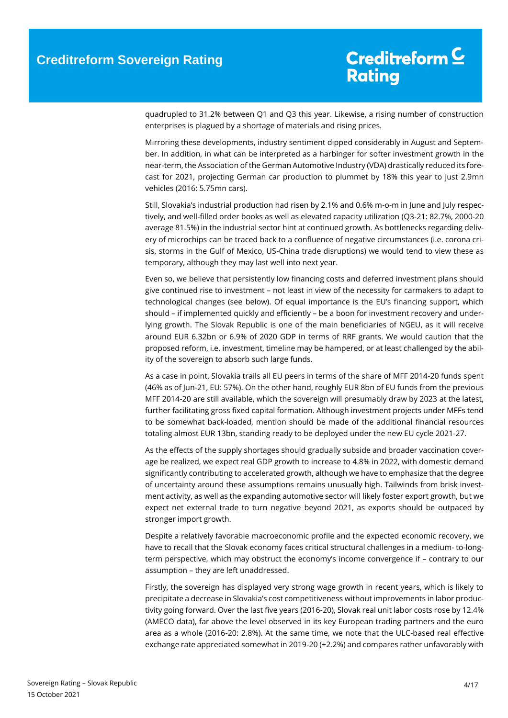quadrupled to 31.2% between Q1 and Q3 this year. Likewise, a rising number of construction enterprises is plagued by a shortage of materials and rising prices.

Mirroring these developments, industry sentiment dipped considerably in August and September. In addition, in what can be interpreted as a harbinger for softer investment growth in the near-term, the Association of the German Automotive Industry (VDA) drastically reduced its forecast for 2021, projecting German car production to plummet by 18% this year to just 2.9mn vehicles (2016: 5.75mn cars).

Still, Slovakia's industrial production had risen by 2.1% and 0.6% m-o-m in June and July respectively, and well-filled order books as well as elevated capacity utilization (Q3-21: 82.7%, 2000-20 average 81.5%) in the industrial sector hint at continued growth. As bottlenecks regarding delivery of microchips can be traced back to a confluence of negative circumstances (i.e. corona crisis, storms in the Gulf of Mexico, US-China trade disruptions) we would tend to view these as temporary, although they may last well into next year.

Even so, we believe that persistently low financing costs and deferred investment plans should give continued rise to investment – not least in view of the necessity for carmakers to adapt to technological changes (see below). Of equal importance is the EU's financing support, which should – if implemented quickly and efficiently – be a boon for investment recovery and underlying growth. The Slovak Republic is one of the main beneficiaries of NGEU, as it will receive around EUR 6.32bn or 6.9% of 2020 GDP in terms of RRF grants. We would caution that the proposed reform, i.e. investment, timeline may be hampered, or at least challenged by the ability of the sovereign to absorb such large funds.

As a case in point, Slovakia trails all EU peers in terms of the share of MFF 2014-20 funds spent (46% as of Jun-21, EU: 57%). On the other hand, roughly EUR 8bn of EU funds from the previous MFF 2014-20 are still available, which the sovereign will presumably draw by 2023 at the latest, further facilitating gross fixed capital formation. Although investment projects under MFFs tend to be somewhat back-loaded, mention should be made of the additional financial resources totaling almost EUR 13bn, standing ready to be deployed under the new EU cycle 2021-27.

As the effects of the supply shortages should gradually subside and broader vaccination coverage be realized, we expect real GDP growth to increase to 4.8% in 2022, with domestic demand significantly contributing to accelerated growth, although we have to emphasize that the degree of uncertainty around these assumptions remains unusually high. Tailwinds from brisk investment activity, as well as the expanding automotive sector will likely foster export growth, but we expect net external trade to turn negative beyond 2021, as exports should be outpaced by stronger import growth.

Despite a relatively favorable macroeconomic profile and the expected economic recovery, we have to recall that the Slovak economy faces critical structural challenges in a medium- to-longterm perspective, which may obstruct the economy's income convergence if – contrary to our assumption – they are left unaddressed.

Firstly, the sovereign has displayed very strong wage growth in recent years, which is likely to precipitate a decrease in Slovakia's cost competitiveness without improvements in labor productivity going forward. Over the last five years (2016-20), Slovak real unit labor costs rose by 12.4% (AMECO data), far above the level observed in its key European trading partners and the euro area as a whole (2016-20: 2.8%). At the same time, we note that the ULC-based real effective exchange rate appreciated somewhat in 2019-20 (+2.2%) and compares rather unfavorably with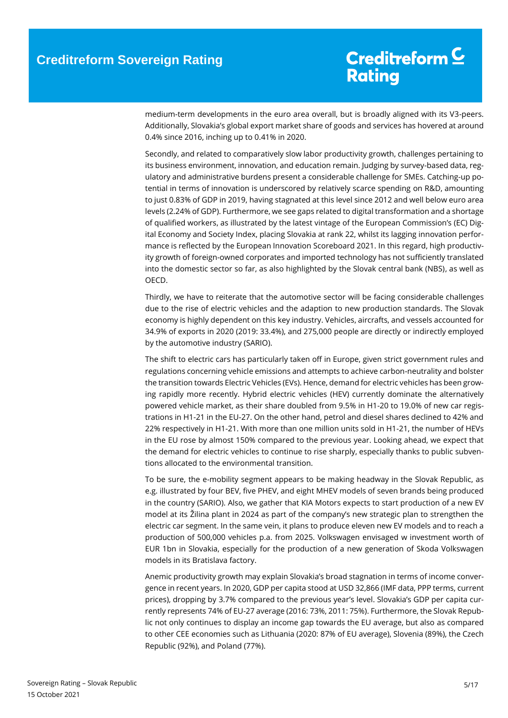medium-term developments in the euro area overall, but is broadly aligned with its V3-peers. Additionally, Slovakia's global export market share of goods and services has hovered at around 0.4% since 2016, inching up to 0.41% in 2020.

Secondly, and related to comparatively slow labor productivity growth, challenges pertaining to its business environment, innovation, and education remain. Judging by survey-based data, regulatory and administrative burdens present a considerable challenge for SMEs. Catching-up potential in terms of innovation is underscored by relatively scarce spending on R&D, amounting to just 0.83% of GDP in 2019, having stagnated at this level since 2012 and well below euro area levels (2.24% of GDP). Furthermore, we see gaps related to digital transformation and a shortage of qualified workers, as illustrated by the latest vintage of the European Commission's (EC) Digital Economy and Society Index, placing Slovakia at rank 22, whilst its lagging innovation performance is reflected by the European Innovation Scoreboard 2021. In this regard, high productivity growth of foreign-owned corporates and imported technology has not sufficiently translated into the domestic sector so far, as also highlighted by the Slovak central bank (NBS), as well as OECD.

Thirdly, we have to reiterate that the automotive sector will be facing considerable challenges due to the rise of electric vehicles and the adaption to new production standards. The Slovak economy is highly dependent on this key industry. Vehicles, aircrafts, and vessels accounted for 34.9% of exports in 2020 (2019: 33.4%), and 275,000 people are directly or indirectly employed by the automotive industry (SARIO).

The shift to electric cars has particularly taken off in Europe, given strict government rules and regulations concerning vehicle emissions and attempts to achieve carbon-neutrality and bolster the transition towards Electric Vehicles (EVs). Hence, demand for electric vehicles has been growing rapidly more recently. Hybrid electric vehicles (HEV) currently dominate the alternatively powered vehicle market, as their share doubled from 9.5% in H1-20 to 19.0% of new car registrations in H1-21 in the EU-27. On the other hand, petrol and diesel shares declined to 42% and 22% respectively in H1-21. With more than one million units sold in H1-21, the number of HEVs in the EU rose by almost 150% compared to the previous year. Looking ahead, we expect that the demand for electric vehicles to continue to rise sharply, especially thanks to public subventions allocated to the environmental transition.

To be sure, the e-mobility segment appears to be making headway in the Slovak Republic, as e.g. illustrated by four BEV, five PHEV, and eight MHEV models of seven brands being produced in the country (SARIO). Also, we gather that KIA Motors expects to start production of a new EV model at its Žilina plant in 2024 as part of the company's new strategic plan to strengthen the electric car segment. In the same vein, it plans to produce eleven new EV models and to reach a production of 500,000 vehicles p.a. from 2025. Volkswagen envisaged w investment worth of EUR 1bn in Slovakia, especially for the production of a new generation of Skoda Volkswagen models in its Bratislava factory.

Anemic productivity growth may explain Slovakia's broad stagnation in terms of income convergence in recent years. In 2020, GDP per capita stood at USD 32,866 (IMF data, PPP terms, current prices), dropping by 3.7% compared to the previous year's level. Slovakia's GDP per capita currently represents 74% of EU-27 average (2016: 73%, 2011: 75%). Furthermore, the Slovak Republic not only continues to display an income gap towards the EU average, but also as compared to other CEE economies such as Lithuania (2020: 87% of EU average), Slovenia (89%), the Czech Republic (92%), and Poland (77%).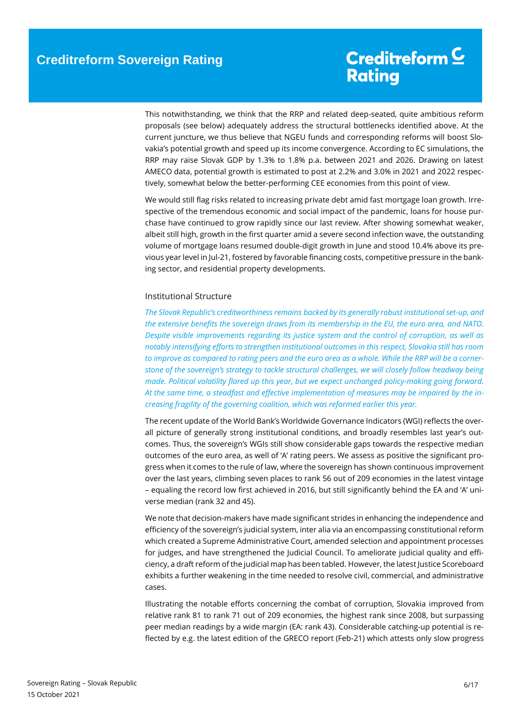This notwithstanding, we think that the RRP and related deep-seated, quite ambitious reform proposals (see below) adequately address the structural bottlenecks identified above. At the current juncture, we thus believe that NGEU funds and corresponding reforms will boost Slovakia's potential growth and speed up its income convergence. According to EC simulations, the RRP may raise Slovak GDP by 1.3% to 1.8% p.a. between 2021 and 2026. Drawing on latest AMECO data, potential growth is estimated to post at 2.2% and 3.0% in 2021 and 2022 respectively, somewhat below the better-performing CEE economies from this point of view.

We would still flag risks related to increasing private debt amid fast mortgage loan growth. Irrespective of the tremendous economic and social impact of the pandemic, loans for house purchase have continued to grow rapidly since our last review. After showing somewhat weaker, albeit still high, growth in the first quarter amid a severe second infection wave, the outstanding volume of mortgage loans resumed double-digit growth in June and stood 10.4% above its previous year level in Jul-21, fostered by favorable financing costs, competitive pressure in the banking sector, and residential property developments.

#### <span id="page-5-0"></span>Institutional Structure

*The Slovak Republic's creditworthiness remains backed by its generally robust institutional set-up, and the extensive benefits the sovereign draws from its membership in the EU, the euro area, and NATO. Despite visible improvements regarding its justice system and the control of corruption, as well as notably intensifying efforts to strengthen institutional outcomes in this respect, Slovakia still has room to improve as compared to rating peers and the euro area as a whole. While the RRP will be a cornerstone of the sovereign's strategy to tackle structural challenges, we will closely follow headway being made. Political volatility flared up this year, but we expect unchanged policy-making going forward. At the same time, a steadfast and effective implementation of measures may be impaired by the increasing fragility of the governing coalition, which was reformed earlier this year.* 

The recent update of the World Bank's Worldwide Governance Indicators (WGI) reflects the overall picture of generally strong institutional conditions, and broadly resembles last year's outcomes. Thus, the sovereign's WGIs still show considerable gaps towards the respective median outcomes of the euro area, as well of 'A' rating peers. We assess as positive the significant progress when it comes to the rule of law, where the sovereign has shown continuous improvement over the last years, climbing seven places to rank 56 out of 209 economies in the latest vintage – equaling the record low first achieved in 2016, but still significantly behind the EA and 'A' universe median (rank 32 and 45).

We note that decision-makers have made significant strides in enhancing the independence and efficiency of the sovereign's judicial system, inter alia via an encompassing constitutional reform which created a Supreme Administrative Court, amended selection and appointment processes for judges, and have strengthened the Judicial Council. To ameliorate judicial quality and efficiency, a draft reform of the judicial map has been tabled. However, the latest Justice Scoreboard exhibits a further weakening in the time needed to resolve civil, commercial, and administrative cases.

Illustrating the notable efforts concerning the combat of corruption, Slovakia improved from relative rank 81 to rank 71 out of 209 economies, the highest rank since 2008, but surpassing peer median readings by a wide margin (EA: rank 43). Considerable catching-up potential is reflected by e.g. the latest edition of the GRECO report (Feb-21) which attests only slow progress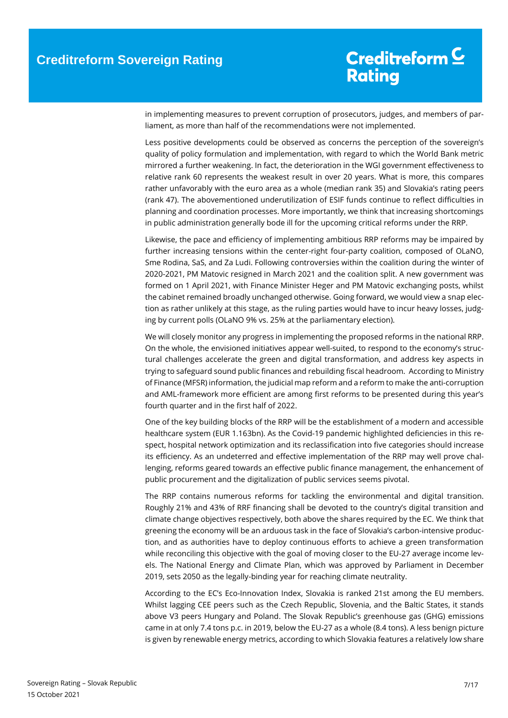in implementing measures to prevent corruption of prosecutors, judges, and members of parliament, as more than half of the recommendations were not implemented.

Less positive developments could be observed as concerns the perception of the sovereign's quality of policy formulation and implementation, with regard to which the World Bank metric mirrored a further weakening. In fact, the deterioration in the WGI government effectiveness to relative rank 60 represents the weakest result in over 20 years. What is more, this compares rather unfavorably with the euro area as a whole (median rank 35) and Slovakia's rating peers (rank 47). The abovementioned underutilization of ESIF funds continue to reflect difficulties in planning and coordination processes. More importantly, we think that increasing shortcomings in public administration generally bode ill for the upcoming critical reforms under the RRP.

Likewise, the pace and efficiency of implementing ambitious RRP reforms may be impaired by further increasing tensions within the center-right four-party coalition, composed of OLaNO, Sme Rodina, SaS, and Za Ludi. Following controversies within the coalition during the winter of 2020-2021, PM Matovic resigned in March 2021 and the coalition split. A new government was formed on 1 April 2021, with Finance Minister Heger and PM Matovic exchanging posts, whilst the cabinet remained broadly unchanged otherwise. Going forward, we would view a snap election as rather unlikely at this stage, as the ruling parties would have to incur heavy losses, judging by current polls (OLaNO 9% vs. 25% at the parliamentary election).

We will closely monitor any progress in implementing the proposed reforms in the national RRP. On the whole, the envisioned initiatives appear well-suited, to respond to the economy's structural challenges accelerate the green and digital transformation, and address key aspects in trying to safeguard sound public finances and rebuilding fiscal headroom. According to Ministry of Finance (MFSR) information, the judicial map reform and a reform to make the anti-corruption and AML-framework more efficient are among first reforms to be presented during this year's fourth quarter and in the first half of 2022.

One of the key building blocks of the RRP will be the establishment of a modern and accessible healthcare system (EUR 1.163bn). As the Covid-19 pandemic highlighted deficiencies in this respect, hospital network optimization and its reclassification into five categories should increase its efficiency. As an undeterred and effective implementation of the RRP may well prove challenging, reforms geared towards an effective public finance management, the enhancement of public procurement and the digitalization of public services seems pivotal.

The RRP contains numerous reforms for tackling the environmental and digital transition. Roughly 21% and 43% of RRF financing shall be devoted to the country's digital transition and climate change objectives respectively, both above the shares required by the EC. We think that greening the economy will be an arduous task in the face of Slovakia's carbon-intensive production, and as authorities have to deploy continuous efforts to achieve a green transformation while reconciling this objective with the goal of moving closer to the EU-27 average income levels. The National Energy and Climate Plan, which was approved by Parliament in December 2019, sets 2050 as the legally-binding year for reaching climate neutrality.

According to the EC's Eco-Innovation Index, Slovakia is ranked 21st among the EU members. Whilst lagging CEE peers such as the Czech Republic, Slovenia, and the Baltic States, it stands above V3 peers Hungary and Poland. The Slovak Republic's greenhouse gas (GHG) emissions came in at only 7.4 tons p.c. in 2019, below the EU-27 as a whole (8.4 tons). A less benign picture is given by renewable energy metrics, according to which Slovakia features a relatively low share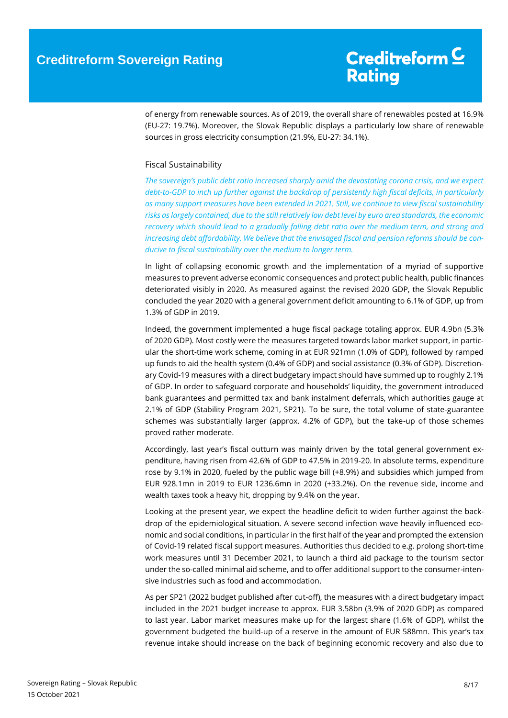of energy from renewable sources. As of 2019, the overall share of renewables posted at 16.9% (EU-27: 19.7%). Moreover, the Slovak Republic displays a particularly low share of renewable sources in gross electricity consumption (21.9%, EU-27: 34.1%).

#### <span id="page-7-0"></span>Fiscal Sustainability

*The sovereign's public debt ratio increased sharply amid the devastating corona crisis, and we expect debt-to-GDP to inch up further against the backdrop of persistently high fiscal deficits, in particularly as many support measures have been extended in 2021. Still, we continue to view fiscal sustainability risks as largely contained, due to the still relatively low debt level by euro area standards, the economic recovery which should lead to a gradually falling debt ratio over the medium term, and strong and increasing debt affordability. We believe that the envisaged fiscal and pension reforms should be conducive to fiscal sustainability over the medium to longer term.* 

In light of collapsing economic growth and the implementation of a myriad of supportive measures to prevent adverse economic consequences and protect public health, public finances deteriorated visibly in 2020. As measured against the revised 2020 GDP, the Slovak Republic concluded the year 2020 with a general government deficit amounting to 6.1% of GDP, up from 1.3% of GDP in 2019.

Indeed, the government implemented a huge fiscal package totaling approx. EUR 4.9bn (5.3% of 2020 GDP). Most costly were the measures targeted towards labor market support, in particular the short-time work scheme, coming in at EUR 921mn (1.0% of GDP), followed by ramped up funds to aid the health system (0.4% of GDP) and social assistance (0.3% of GDP). Discretionary Covid-19 measures with a direct budgetary impact should have summed up to roughly 2.1% of GDP. In order to safeguard corporate and households' liquidity, the government introduced bank guarantees and permitted tax and bank instalment deferrals, which authorities gauge at 2.1% of GDP (Stability Program 2021, SP21). To be sure, the total volume of state-guarantee schemes was substantially larger (approx. 4.2% of GDP), but the take-up of those schemes proved rather moderate.

Accordingly, last year's fiscal outturn was mainly driven by the total general government expenditure, having risen from 42.6% of GDP to 47.5% in 2019-20. In absolute terms, expenditure rose by 9.1% in 2020, fueled by the public wage bill (+8.9%) and subsidies which jumped from EUR 928.1mn in 2019 to EUR 1236.6mn in 2020 (+33.2%). On the revenue side, income and wealth taxes took a heavy hit, dropping by 9.4% on the year.

Looking at the present year, we expect the headline deficit to widen further against the backdrop of the epidemiological situation. A severe second infection wave heavily influenced economic and social conditions, in particular in the first half of the year and prompted the extension of Covid-19 related fiscal support measures. Authorities thus decided to e.g. prolong short-time work measures until 31 December 2021, to launch a third aid package to the tourism sector under the so-called minimal aid scheme, and to offer additional support to the consumer-intensive industries such as food and accommodation.

As per SP21 (2022 budget published after cut-off), the measures with a direct budgetary impact included in the 2021 budget increase to approx. EUR 3.58bn (3.9% of 2020 GDP) as compared to last year. Labor market measures make up for the largest share (1.6% of GDP), whilst the government budgeted the build-up of a reserve in the amount of EUR 588mn. This year's tax revenue intake should increase on the back of beginning economic recovery and also due to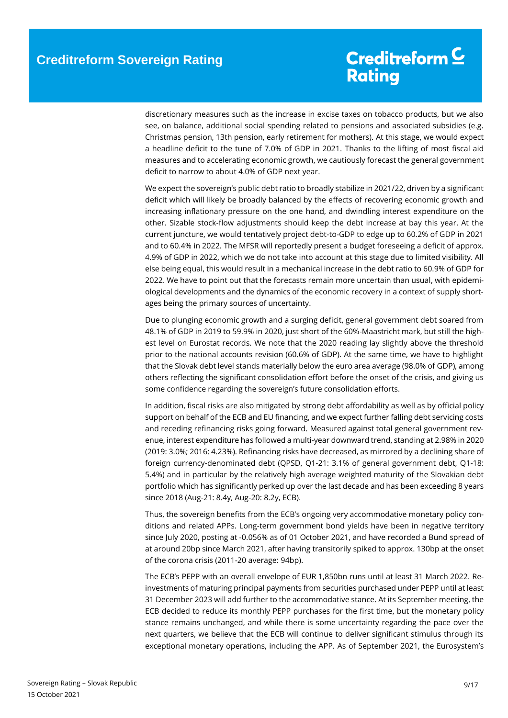discretionary measures such as the increase in excise taxes on tobacco products, but we also see, on balance, additional social spending related to pensions and associated subsidies (e.g. Christmas pension, 13th pension, early retirement for mothers). At this stage, we would expect a headline deficit to the tune of 7.0% of GDP in 2021. Thanks to the lifting of most fiscal aid measures and to accelerating economic growth, we cautiously forecast the general government deficit to narrow to about 4.0% of GDP next year.

We expect the sovereign's public debt ratio to broadly stabilize in 2021/22, driven by a significant deficit which will likely be broadly balanced by the effects of recovering economic growth and increasing inflationary pressure on the one hand, and dwindling interest expenditure on the other. Sizable stock-flow adjustments should keep the debt increase at bay this year. At the current juncture, we would tentatively project debt-to-GDP to edge up to 60.2% of GDP in 2021 and to 60.4% in 2022. The MFSR will reportedly present a budget foreseeing a deficit of approx. 4.9% of GDP in 2022, which we do not take into account at this stage due to limited visibility. All else being equal, this would result in a mechanical increase in the debt ratio to 60.9% of GDP for 2022. We have to point out that the forecasts remain more uncertain than usual, with epidemiological developments and the dynamics of the economic recovery in a context of supply shortages being the primary sources of uncertainty.

Due to plunging economic growth and a surging deficit, general government debt soared from 48.1% of GDP in 2019 to 59.9% in 2020, just short of the 60%-Maastricht mark, but still the highest level on Eurostat records. We note that the 2020 reading lay slightly above the threshold prior to the national accounts revision (60.6% of GDP). At the same time, we have to highlight that the Slovak debt level stands materially below the euro area average (98.0% of GDP), among others reflecting the significant consolidation effort before the onset of the crisis, and giving us some confidence regarding the sovereign's future consolidation efforts.

In addition, fiscal risks are also mitigated by strong debt affordability as well as by official policy support on behalf of the ECB and EU financing, and we expect further falling debt servicing costs and receding refinancing risks going forward. Measured against total general government revenue, interest expenditure has followed a multi-year downward trend, standing at 2.98% in 2020 (2019: 3.0%; 2016: 4.23%). Refinancing risks have decreased, as mirrored by a declining share of foreign currency-denominated debt (QPSD, Q1-21: 3.1% of general government debt, Q1-18: 5.4%) and in particular by the relatively high average weighted maturity of the Slovakian debt portfolio which has significantly perked up over the last decade and has been exceeding 8 years since 2018 (Aug-21: 8.4y, Aug-20: 8.2y, ECB).

Thus, the sovereign benefits from the ECB's ongoing very accommodative monetary policy conditions and related APPs. Long-term government bond yields have been in negative territory since July 2020, posting at -0.056% as of 01 October 2021, and have recorded a Bund spread of at around 20bp since March 2021, after having transitorily spiked to approx. 130bp at the onset of the corona crisis (2011-20 average: 94bp).

The ECB's PEPP with an overall envelope of EUR 1,850bn runs until at least 31 March 2022. Reinvestments of maturing principal payments from securities purchased under PEPP until at least 31 December 2023 will add further to the accommodative stance. At its September meeting, the ECB decided to reduce its monthly PEPP purchases for the first time, but the monetary policy stance remains unchanged, and while there is some uncertainty regarding the pace over the next quarters, we believe that the ECB will continue to deliver significant stimulus through its exceptional monetary operations, including the APP. As of September 2021, the Eurosystem's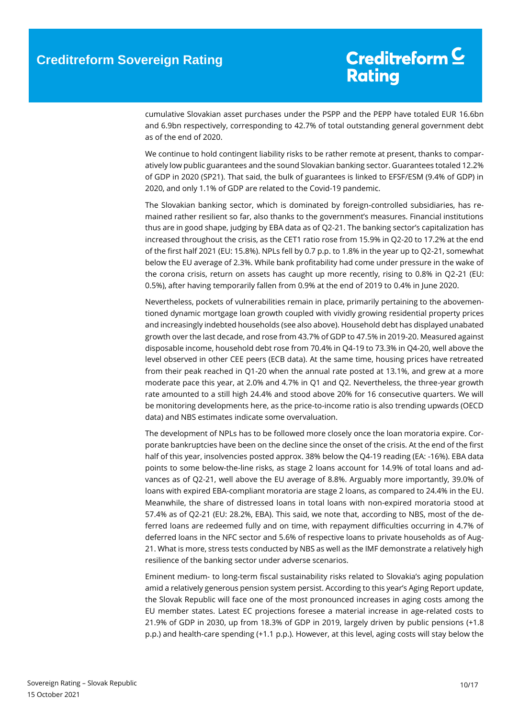cumulative Slovakian asset purchases under the PSPP and the PEPP have totaled EUR 16.6bn and 6.9bn respectively, corresponding to 42.7% of total outstanding general government debt as of the end of 2020.

We continue to hold contingent liability risks to be rather remote at present, thanks to comparatively low public guarantees and the sound Slovakian banking sector. Guarantees totaled 12.2% of GDP in 2020 (SP21). That said, the bulk of guarantees is linked to EFSF/ESM (9.4% of GDP) in 2020, and only 1.1% of GDP are related to the Covid-19 pandemic.

The Slovakian banking sector, which is dominated by foreign-controlled subsidiaries, has remained rather resilient so far, also thanks to the government's measures. Financial institutions thus are in good shape, judging by EBA data as of Q2-21. The banking sector's capitalization has increased throughout the crisis, as the CET1 ratio rose from 15.9% in Q2-20 to 17.2% at the end of the first half 2021 (EU: 15.8%). NPLs fell by 0.7 p.p. to 1.8% in the year up to Q2-21, somewhat below the EU average of 2.3%. While bank profitability had come under pressure in the wake of the corona crisis, return on assets has caught up more recently, rising to 0.8% in Q2-21 (EU: 0.5%), after having temporarily fallen from 0.9% at the end of 2019 to 0.4% in June 2020.

Nevertheless, pockets of vulnerabilities remain in place, primarily pertaining to the abovementioned dynamic mortgage loan growth coupled with vividly growing residential property prices and increasingly indebted households (see also above). Household debt has displayed unabated growth over the last decade, and rose from 43.7% of GDP to 47.5% in 2019-20. Measured against disposable income, household debt rose from 70.4% in Q4-19 to 73.3% in Q4-20, well above the level observed in other CEE peers (ECB data). At the same time, housing prices have retreated from their peak reached in Q1-20 when the annual rate posted at 13.1%, and grew at a more moderate pace this year, at 2.0% and 4.7% in Q1 and Q2. Nevertheless, the three-year growth rate amounted to a still high 24.4% and stood above 20% for 16 consecutive quarters. We will be monitoring developments here, as the price-to-income ratio is also trending upwards (OECD data) and NBS estimates indicate some overvaluation.

The development of NPLs has to be followed more closely once the loan moratoria expire. Corporate bankruptcies have been on the decline since the onset of the crisis. At the end of the first half of this year, insolvencies posted approx. 38% below the Q4-19 reading (EA: -16%). EBA data points to some below-the-line risks, as stage 2 loans account for 14.9% of total loans and advances as of Q2-21, well above the EU average of 8.8%. Arguably more importantly, 39.0% of loans with expired EBA-compliant moratoria are stage 2 loans, as compared to 24.4% in the EU. Meanwhile, the share of distressed loans in total loans with non-expired moratoria stood at 57.4% as of Q2-21 (EU: 28.2%, EBA). This said, we note that, according to NBS, most of the deferred loans are redeemed fully and on time, with repayment difficulties occurring in 4.7% of deferred loans in the NFC sector and 5.6% of respective loans to private households as of Aug-21. What is more, stress tests conducted by NBS as well as the IMF demonstrate a relatively high resilience of the banking sector under adverse scenarios.

Eminent medium- to long-term fiscal sustainability risks related to Slovakia's aging population amid a relatively generous pension system persist. According to this year's Aging Report update, the Slovak Republic will face one of the most pronounced increases in aging costs among the EU member states. Latest EC projections foresee a material increase in age-related costs to 21.9% of GDP in 2030, up from 18.3% of GDP in 2019, largely driven by public pensions (+1.8 p.p.) and health-care spending (+1.1 p.p.). However, at this level, aging costs will stay below the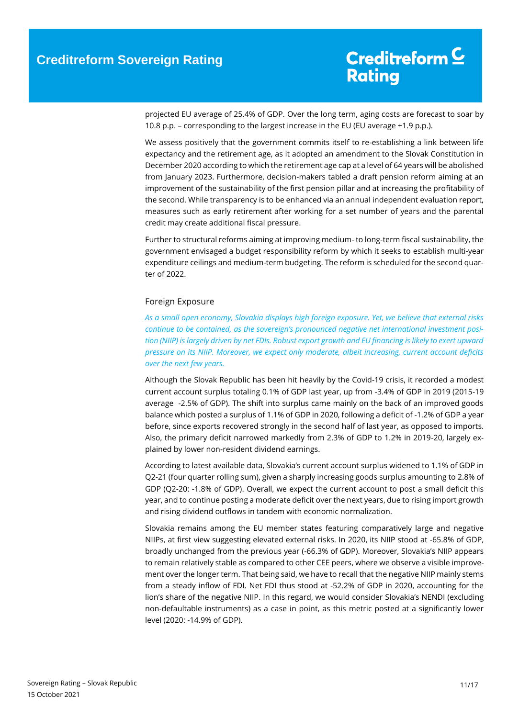projected EU average of 25.4% of GDP. Over the long term, aging costs are forecast to soar by 10.8 p.p. – corresponding to the largest increase in the EU (EU average +1.9 p.p.).

We assess positively that the government commits itself to re-establishing a link between life expectancy and the retirement age, as it adopted an amendment to the Slovak Constitution in December 2020 according to which the retirement age cap at a level of 64 years will be abolished from January 2023. Furthermore, decision-makers tabled a draft pension reform aiming at an improvement of the sustainability of the first pension pillar and at increasing the profitability of the second. While transparency is to be enhanced via an annual independent evaluation report, measures such as early retirement after working for a set number of years and the parental credit may create additional fiscal pressure.

Further to structural reforms aiming at improving medium- to long-term fiscal sustainability, the government envisaged a budget responsibility reform by which it seeks to establish multi-year expenditure ceilings and medium-term budgeting. The reform is scheduled for the second quarter of 2022.

#### <span id="page-10-0"></span>Foreign Exposure

<span id="page-10-1"></span>*As a small open economy, Slovakia displays high foreign exposure. Yet, we believe that external risks continue to be contained, as the sovereign's pronounced negative net international investment position (NIIP) is largely driven by net FDIs. Robust export growth and EU financing is likely to exert upward pressure on its NIIP. Moreover, we expect only moderate, albeit increasing, current account deficits over the next few years.* 

Although the Slovak Republic has been hit heavily by the Covid-19 crisis, it recorded a modest current account surplus totaling 0.1% of GDP last year, up from -3.4% of GDP in 2019 (2015-19 average -2.5% of GDP). The shift into surplus came mainly on the back of an improved goods balance which posted a surplus of 1.1% of GDP in 2020, following a deficit of -1.2% of GDP a year before, since exports recovered strongly in the second half of last year, as opposed to imports. Also, the primary deficit narrowed markedly from 2.3% of GDP to 1.2% in 2019-20, largely explained by lower non-resident dividend earnings.

According to latest available data, Slovakia's current account surplus widened to 1.1% of GDP in Q2-21 (four quarter rolling sum), given a sharply increasing goods surplus amounting to 2.8% of GDP (Q2-20: -1.8% of GDP). Overall, we expect the current account to post a small deficit this year, and to continue posting a moderate deficit over the next years, due to rising import growth and rising dividend outflows in tandem with economic normalization.

Slovakia remains among the EU member states featuring comparatively large and negative NIIPs, at first view suggesting elevated external risks. In 2020, its NIIP stood at -65.8% of GDP, broadly unchanged from the previous year (-66.3% of GDP). Moreover, Slovakia's NIIP appears to remain relatively stable as compared to other CEE peers, where we observe a visible improvement over the longer term. That being said, we have to recall that the negative NIIP mainly stems from a steady inflow of FDI. Net FDI thus stood at -52.2% of GDP in 2020, accounting for the lion's share of the negative NIIP. In this regard, we would consider Slovakia's NENDI (excluding non-defaultable instruments) as a case in point, as this metric posted at a significantly lower level (2020: -14.9% of GDP).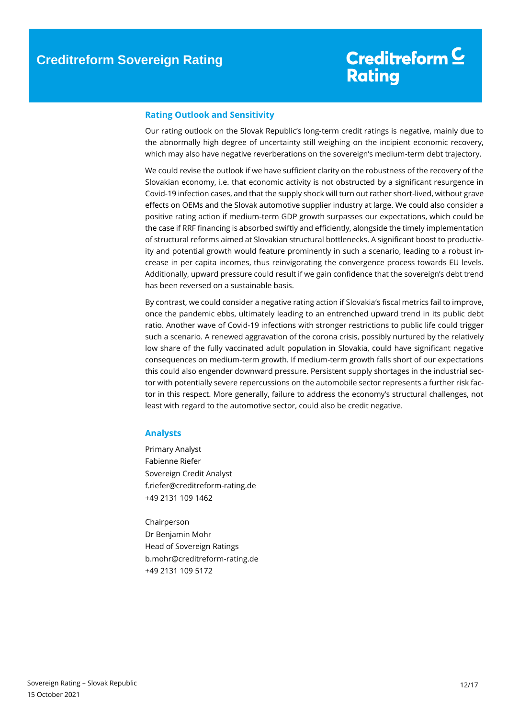#### **Rating Outlook and Sensitivity**

Our rating outlook on the Slovak Republic's long-term credit ratings is negative, mainly due to the abnormally high degree of uncertainty still weighing on the incipient economic recovery, which may also have negative reverberations on the sovereign's medium-term debt trajectory.

We could revise the outlook if we have sufficient clarity on the robustness of the recovery of the Slovakian economy, i.e. that economic activity is not obstructed by a significant resurgence in Covid-19 infection cases, and that the supply shock will turn out rather short-lived, without grave effects on OEMs and the Slovak automotive supplier industry at large. We could also consider a positive rating action if medium-term GDP growth surpasses our expectations, which could be the case if RRF financing is absorbed swiftly and efficiently, alongside the timely implementation of structural reforms aimed at Slovakian structural bottlenecks. A significant boost to productivity and potential growth would feature prominently in such a scenario, leading to a robust increase in per capita incomes, thus reinvigorating the convergence process towards EU levels. Additionally, upward pressure could result if we gain confidence that the sovereign's debt trend has been reversed on a sustainable basis.

By contrast, we could consider a negative rating action if Slovakia's fiscal metrics fail to improve, once the pandemic ebbs, ultimately leading to an entrenched upward trend in its public debt ratio. Another wave of Covid-19 infections with stronger restrictions to public life could trigger such a scenario. A renewed aggravation of the corona crisis, possibly nurtured by the relatively low share of the fully vaccinated adult population in Slovakia, could have significant negative consequences on medium-term growth. If medium-term growth falls short of our expectations this could also engender downward pressure. Persistent supply shortages in the industrial sector with potentially severe repercussions on the automobile sector represents a further risk factor in this respect. More generally, failure to address the economy's structural challenges, not least with regard to the automotive sector, could also be credit negative.

#### <span id="page-11-0"></span>**Analysts**

Primary Analyst Fabienne Riefer Sovereign Credit Analyst f.riefer@creditreform-rating.de +49 2131 109 1462

<span id="page-11-1"></span>Chairperson Dr Benjamin Mohr Head of Sovereign Ratings b.mohr@creditreform-rating.de +49 2131 109 5172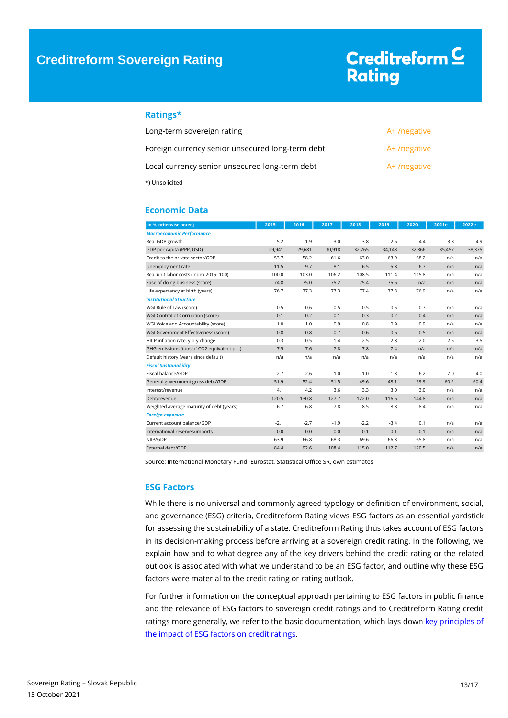#### **Ratings\***

| Long-term sovereign rating                       | A+/negative |
|--------------------------------------------------|-------------|
| Foreign currency senior unsecured long-term debt | A+/negative |
| Local currency senior unsecured long-term debt   | A+/negative |
| *) Unsolicited                                   |             |

#### <span id="page-12-0"></span>**Economic Data**

| [in %, otherwise noted]                     | 2015    | 2016    | 2017    | 2018    | 2019    | 2020    | 2021e  | 2022e  |
|---------------------------------------------|---------|---------|---------|---------|---------|---------|--------|--------|
| <b>Macroeconomic Performance</b>            |         |         |         |         |         |         |        |        |
| Real GDP growth                             | 5.2     | 1.9     | 3.0     | 3.8     | 2.6     | $-4.4$  | 3.8    | 4.9    |
| GDP per capita (PPP, USD)                   | 29,941  | 29,681  | 30,918  | 32,765  | 34,143  | 32,866  | 35,457 | 38,375 |
| Credit to the private sector/GDP            | 53.7    | 58.2    | 61.6    | 63.0    | 63.9    | 68.2    | n/a    | n/a    |
| Unemployment rate                           | 11.5    | 9.7     | 8.1     | 6.5     | 5.8     | 6.7     | n/a    | n/a    |
| Real unit labor costs (index 2015=100)      | 100.0   | 103.0   | 106.2   | 108.5   | 111.4   | 115.8   | n/a    | n/a    |
| Ease of doing business (score)              | 74.8    | 75.0    | 75.2    | 75.4    | 75.6    | n/a     | n/a    | n/a    |
| Life expectancy at birth (years)            | 76.7    | 77.3    | 77.3    | 77.4    | 77.8    | 76.9    | n/a    | n/a    |
| <b>Institutional Structure</b>              |         |         |         |         |         |         |        |        |
| WGI Rule of Law (score)                     | 0.5     | 0.6     | 0.5     | 0.5     | 0.5     | 0.7     | n/a    | n/a    |
| WGI Control of Corruption (score)           | 0.1     | 0.2     | 0.1     | 0.3     | 0.2     | 0.4     | n/a    | n/a    |
| WGI Voice and Accountability (score)        | 1.0     | 1.0     | 0.9     | 0.8     | 0.9     | 0.9     | n/a    | n/a    |
| WGI Government Effectiveness (score)        | 0.8     | 0.8     | 0.7     | 0.6     | 0.6     | 0.5     | n/a    | n/a    |
| HICP inflation rate, y-o-y change           | $-0.3$  | $-0.5$  | 1.4     | 2.5     | 2.8     | 2.0     | 2.5    | 3.5    |
| GHG emissions (tons of CO2 equivalent p.c.) | 7.5     | 7.6     | 7.8     | 7.8     | 7.4     | n/a     | n/a    | n/a    |
| Default history (years since default)       | n/a     | n/a     | n/a     | n/a     | n/a     | n/a     | n/a    | n/a    |
| <b>Fiscal Sustainability</b>                |         |         |         |         |         |         |        |        |
| Fiscal balance/GDP                          | $-2.7$  | $-2.6$  | $-1.0$  | $-1.0$  | $-1.3$  | $-6.2$  | $-7.0$ | $-4.0$ |
| General government gross debt/GDP           | 51.9    | 52.4    | 51.5    | 49.6    | 48.1    | 59.9    | 60.2   | 60.4   |
| Interest/revenue                            | 4.1     | 4.2     | 3.6     | 3.3     | 3.0     | 3.0     | n/a    | n/a    |
| Debt/revenue                                | 120.5   | 130.8   | 127.7   | 122.0   | 116.6   | 144.8   | n/a    | n/a    |
| Weighted average maturity of debt (years)   | 6.7     | 6.8     | 7.8     | 8.5     | 8.8     | 8.4     | n/a    | n/a    |
| <b>Foreign exposure</b>                     |         |         |         |         |         |         |        |        |
| Current account balance/GDP                 | $-2.1$  | $-2.7$  | $-1.9$  | $-2.2$  | $-3.4$  | 0.1     | n/a    | n/a    |
| International reserves/imports              | 0.0     | 0.0     | 0.0     | 0.1     | 0.1     | 0.1     | n/a    | n/a    |
| NIIP/GDP                                    | $-63.9$ | $-66.8$ | $-68.3$ | $-69.6$ | $-66.3$ | $-65.8$ | n/a    | n/a    |
| External debt/GDP                           | 84.4    | 92.6    | 108.4   | 115.0   | 112.7   | 120.5   | n/a    | n/a    |

Source: International Monetary Fund, Eurostat, Statistical Office SR, own estimates

#### <span id="page-12-1"></span>**ESG Factors**

While there is no universal and commonly agreed typology or definition of environment, social, and governance (ESG) criteria, Creditreform Rating views ESG factors as an essential yardstick for assessing the sustainability of a state. Creditreform Rating thus takes account of ESG factors in its decision-making process before arriving at a sovereign credit rating. In the following, we explain how and to what degree any of the key drivers behind the credit rating or the related outlook is associated with what we understand to be an ESG factor, and outline why these ESG factors were material to the credit rating or rating outlook.

For further information on the conceptual approach pertaining to ESG factors in public finance and the relevance of ESG factors to sovereign credit ratings and to Creditreform Rating credit ratings more generally, we refer to the basic documentation, which lays down key principles of [the impact of ESG factors on credit ratings.](https://www.creditreform-rating.de/en/about-us/regulatory-requirements.html?file=files/content/downloads/Externes%20Rating/Regulatorische%20Anforderungen/EN/Ratingmethodiken%20EN/The%20Impact%20of%20ESG%20Factors%20on%20Credit%20Ratings.pdf)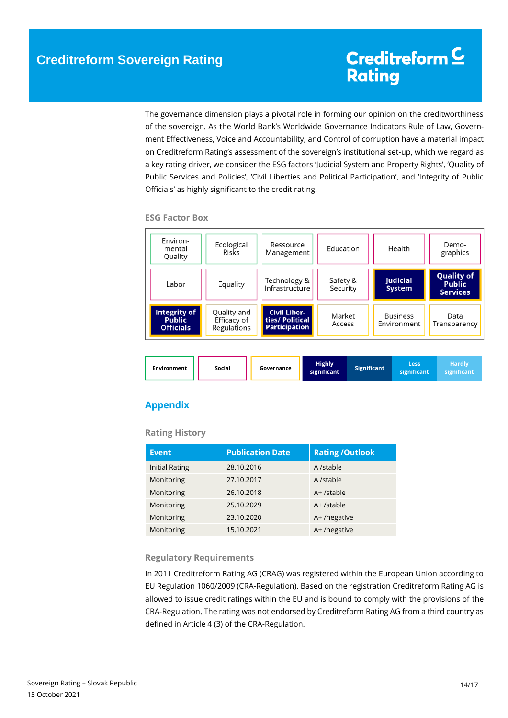The governance dimension plays a pivotal role in forming our opinion on the creditworthiness of the sovereign. As the World Bank's Worldwide Governance Indicators Rule of Law, Government Effectiveness, Voice and Accountability, and Control of corruption have a material impact on Creditreform Rating's assessment of the sovereign's institutional set-up, which we regard as a key rating driver, we consider the ESG factors 'Judicial System and Property Rights', 'Quality of Public Services and Policies', 'Civil Liberties and Political Participation', and 'Integrity of Public Officials' as highly significant to the credit rating.

| Environ-<br>mental<br>Quality                     | Ecological<br>Risks                       | Ressource<br>Management                                        | Education            | Health                         | Demo-<br>graphics                                     |
|---------------------------------------------------|-------------------------------------------|----------------------------------------------------------------|----------------------|--------------------------------|-------------------------------------------------------|
| Labor                                             | Equality                                  | Technology &<br>Infrastructure                                 | Safety &<br>Security | Judicial<br><b>System</b>      | <b>Quality of</b><br><b>Public</b><br><b>Services</b> |
| Integrity of<br><b>Public</b><br><b>Officials</b> | Quality and<br>Efficacy of<br>Regulations | <b>Civil Liber-</b><br>ties/ Political<br><b>Participation</b> | Market<br>Access     | <b>Business</b><br>Environment | Data<br>Transparency                                  |

**ESG Factor Box**

| <b>Environment</b> | Social | Governance | <b>Highly</b><br>significant | <b>Significant</b> | Less<br>significant | Hardly<br>significant |
|--------------------|--------|------------|------------------------------|--------------------|---------------------|-----------------------|
|--------------------|--------|------------|------------------------------|--------------------|---------------------|-----------------------|

### <span id="page-13-0"></span>**Appendix**

#### **Rating History**

| <b>Event</b>          | <b>Publication Date</b> | <b>Rating /Outlook</b> |
|-----------------------|-------------------------|------------------------|
| <b>Initial Rating</b> | 28.10.2016              | A /stable              |
| Monitoring            | 27.10.2017              | A /stable              |
| Monitoring            | 26.10.2018              | A+/stable              |
| Monitoring            | 25.10.2029              | $A+$ /stable           |
| Monitoring            | 23.10.2020              | A+/negative            |
| Monitoring            | 15.10.2021              | A+/negative            |

#### **Regulatory Requirements**

In 2011 Creditreform Rating AG (CRAG) was registered within the European Union according to EU Regulation 1060/2009 (CRA-Regulation). Based on the registration Creditreform Rating AG is allowed to issue credit ratings within the EU and is bound to comply with the provisions of the CRA-Regulation. The rating was not endorsed by Creditreform Rating AG from a third country as defined in Article 4 (3) of the CRA-Regulation.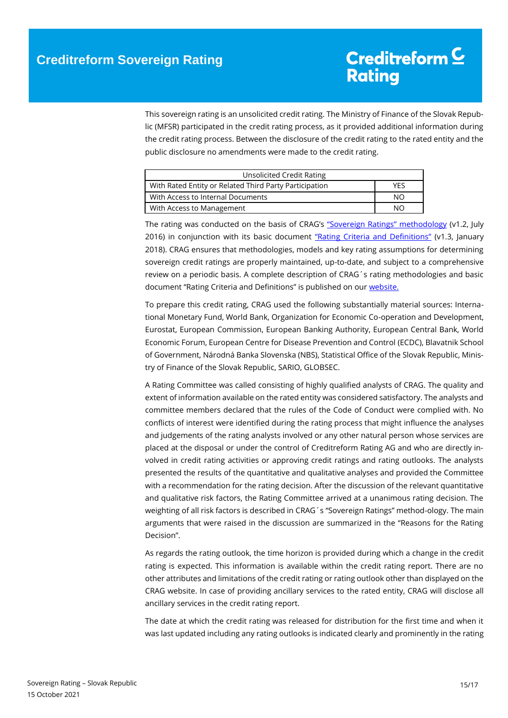This sovereign rating is an unsolicited credit rating. The Ministry of Finance of the Slovak Republic (MFSR) participated in the credit rating process, as it provided additional information during the credit rating process. Between the disclosure of the credit rating to the rated entity and the public disclosure no amendments were made to the credit rating.

| Unsolicited Credit Rating                              |     |
|--------------------------------------------------------|-----|
| With Rated Entity or Related Third Party Participation | YFS |
| With Access to Internal Documents                      | NO. |
| With Access to Management                              | NΟ  |

The rating was conducted on the basis of CRAG's ["Sovereign Ratings" methodology](https://www.creditreform-rating.de/en/about-us/regulatory-requirements.html?file=files/content/downloads/Externes%20Rating/Regulatorische%20Anforderungen/EN/Ratingmethodiken%20EN/Rating%20Methodology%20Sovereign%20Ratings.pdf) (v1.2, July 2016) in conjunction with its basic document ["Rating Criteria and Definitions"](https://www.creditreform-rating.de/en/about-us/regulatory-requirements.html?file=files/content/downloads/Externes%20Rating/Regulatorische%20Anforderungen/EN/Ratingmethodiken%20EN/CRAG%20Rating%20Criteria%20and%20Definitions.pdf) (v1.3, January 2018). CRAG ensures that methodologies, models and key rating assumptions for determining sovereign credit ratings are properly maintained, up-to-date, and subject to a comprehensive review on a periodic basis. A complete description of CRAG´s rating methodologies and basic document "Rating Criteria and Definitions" is published on our [website.](https://www.creditreform-rating.de/en/about-us/regulatory-requirements.html)

To prepare this credit rating, CRAG used the following substantially material sources: International Monetary Fund, World Bank, Organization for Economic Co-operation and Development, Eurostat, European Commission, European Banking Authority, European Central Bank, World Economic Forum, European Centre for Disease Prevention and Control (ECDC), Blavatnik School of Government, Národná Banka Slovenska (NBS), Statistical Office of the Slovak Republic, Ministry of Finance of the Slovak Republic, SARIO, GLOBSEC.

A Rating Committee was called consisting of highly qualified analysts of CRAG. The quality and extent of information available on the rated entity was considered satisfactory. The analysts and committee members declared that the rules of the Code of Conduct were complied with. No conflicts of interest were identified during the rating process that might influence the analyses and judgements of the rating analysts involved or any other natural person whose services are placed at the disposal or under the control of Creditreform Rating AG and who are directly involved in credit rating activities or approving credit ratings and rating outlooks. The analysts presented the results of the quantitative and qualitative analyses and provided the Committee with a recommendation for the rating decision. After the discussion of the relevant quantitative and qualitative risk factors, the Rating Committee arrived at a unanimous rating decision. The weighting of all risk factors is described in CRAG´s "Sovereign Ratings" method-ology. The main arguments that were raised in the discussion are summarized in the "Reasons for the Rating Decision".

As regards the rating outlook, the time horizon is provided during which a change in the credit rating is expected. This information is available within the credit rating report. There are no other attributes and limitations of the credit rating or rating outlook other than displayed on the CRAG website. In case of providing ancillary services to the rated entity, CRAG will disclose all ancillary services in the credit rating report.

The date at which the credit rating was released for distribution for the first time and when it was last updated including any rating outlooks is indicated clearly and prominently in the rating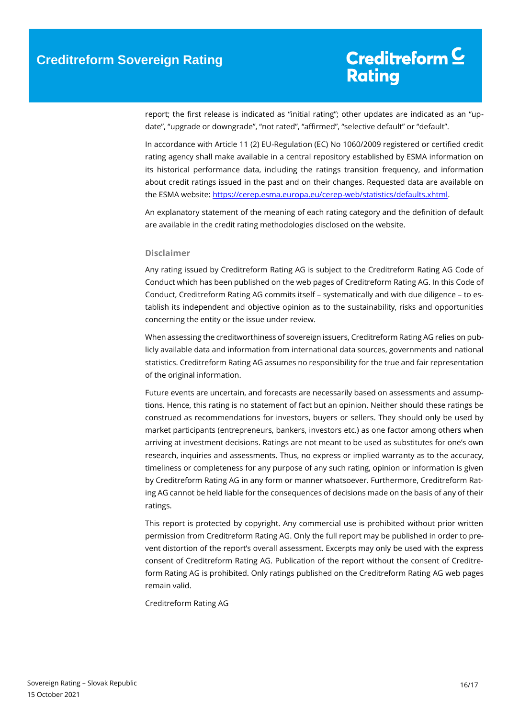report; the first release is indicated as "initial rating"; other updates are indicated as an "update", "upgrade or downgrade", "not rated", "affirmed", "selective default" or "default".

In accordance with Article 11 (2) EU-Regulation (EC) No 1060/2009 registered or certified credit rating agency shall make available in a central repository established by ESMA information on its historical performance data, including the ratings transition frequency, and information about credit ratings issued in the past and on their changes. Requested data are available on the ESMA website: [https://cerep.esma.europa.eu/cerep-web/statistics/defaults.xhtml.](https://cerep.esma.europa.eu/cerep-web/statistics/defaults.xhtml)

An explanatory statement of the meaning of each rating category and the definition of default are available in the credit rating methodologies disclosed on the website.

#### **Disclaimer**

Any rating issued by Creditreform Rating AG is subject to the Creditreform Rating AG Code of Conduct which has been published on the web pages of Creditreform Rating AG. In this Code of Conduct, Creditreform Rating AG commits itself – systematically and with due diligence – to establish its independent and objective opinion as to the sustainability, risks and opportunities concerning the entity or the issue under review.

When assessing the creditworthiness of sovereign issuers, Creditreform Rating AG relies on publicly available data and information from international data sources, governments and national statistics. Creditreform Rating AG assumes no responsibility for the true and fair representation of the original information.

Future events are uncertain, and forecasts are necessarily based on assessments and assumptions. Hence, this rating is no statement of fact but an opinion. Neither should these ratings be construed as recommendations for investors, buyers or sellers. They should only be used by market participants (entrepreneurs, bankers, investors etc.) as one factor among others when arriving at investment decisions. Ratings are not meant to be used as substitutes for one's own research, inquiries and assessments. Thus, no express or implied warranty as to the accuracy, timeliness or completeness for any purpose of any such rating, opinion or information is given by Creditreform Rating AG in any form or manner whatsoever. Furthermore, Creditreform Rating AG cannot be held liable for the consequences of decisions made on the basis of any of their ratings.

This report is protected by copyright. Any commercial use is prohibited without prior written permission from Creditreform Rating AG. Only the full report may be published in order to prevent distortion of the report's overall assessment. Excerpts may only be used with the express consent of Creditreform Rating AG. Publication of the report without the consent of Creditreform Rating AG is prohibited. Only ratings published on the Creditreform Rating AG web pages remain valid.

Creditreform Rating AG